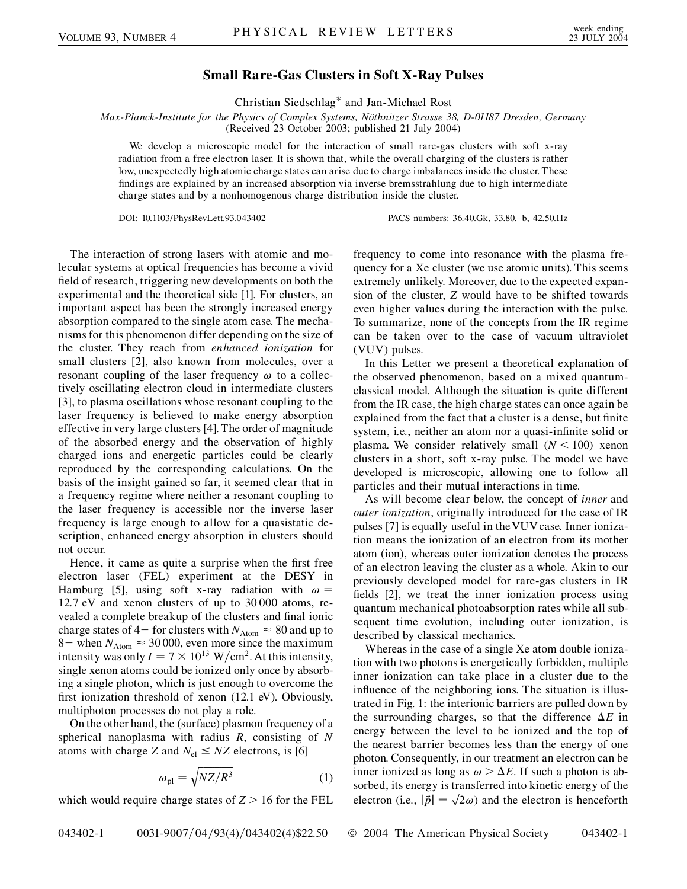## **Small Rare-Gas Clusters in Soft X-Ray Pulses**

Christian Siedschlag\* and Jan-Michael Rost

*Max-Planck-Institute for the Physics of Complex Systems, Nöthnitzer Strasse 38, D-01187 Dresden, Germany* (Received 23 October 2003; published 21 July 2004)

We develop a microscopic model for the interaction of small rare-gas clusters with soft x-ray radiation from a free electron laser. It is shown that, while the overall charging of the clusters is rather low, unexpectedly high atomic charge states can arise due to charge imbalances inside the cluster. These findings are explained by an increased absorption via inverse bremsstrahlung due to high intermediate charge states and by a nonhomogenous charge distribution inside the cluster.

DOI: 10.1103/PhysRevLett.93.043402 PACS numbers: 36.40.Gk, 33.80.–b, 42.50.Hz

The interaction of strong lasers with atomic and molecular systems at optical frequencies has become a vivid field of research, triggering new developments on both the experimental and the theoretical side [1]. For clusters, an important aspect has been the strongly increased energy absorption compared to the single atom case. The mechanisms for this phenomenon differ depending on the size of the cluster. They reach from *enhanced ionization* for small clusters [2], also known from molecules, over a resonant coupling of the laser frequency  $\omega$  to a collectively oscillating electron cloud in intermediate clusters [3], to plasma oscillations whose resonant coupling to the laser frequency is believed to make energy absorption effective in very large clusters [4]. The order of magnitude of the absorbed energy and the observation of highly charged ions and energetic particles could be clearly reproduced by the corresponding calculations. On the basis of the insight gained so far, it seemed clear that in a frequency regime where neither a resonant coupling to the laser frequency is accessible nor the inverse laser frequency is large enough to allow for a quasistatic description, enhanced energy absorption in clusters should not occur.

Hence, it came as quite a surprise when the first free electron laser (FEL) experiment at the DESY in Hamburg [5], using soft x-ray radiation with  $\omega$  = 12*:*7 eV and xenon clusters of up to 30 000 atoms, revealed a complete breakup of the clusters and final ionic charge states of 4 + for clusters with  $N_{\text{Atom}} \approx 80$  and up to  $8+$  when  $N_{\text{Atom}} \approx 30000$ , even more since the maximum intensity was only  $I = 7 \times 10^{13}$  W/cm<sup>2</sup>. At this intensity, single xenon atoms could be ionized only once by absorbing a single photon, which is just enough to overcome the first ionization threshold of xenon (12.1 eV). Obviously, multiphoton processes do not play a role.

On the other hand, the (surface) plasmon frequency of a spherical nanoplasma with radius *R*, consisting of *N* atoms with charge *Z* and  $N_{el} \leq NZ$  electrons, is [6]

$$
\omega_{\rm pl} = \sqrt{NZ/R^3} \tag{1}
$$

which would require charge states of *Z >* 16 for the FEL

frequency to come into resonance with the plasma frequency for a Xe cluster (we use atomic units). This seems extremely unlikely. Moreover, due to the expected expansion of the cluster, *Z* would have to be shifted towards even higher values during the interaction with the pulse. To summarize, none of the concepts from the IR regime can be taken over to the case of vacuum ultraviolet (VUV) pulses.

In this Letter we present a theoretical explanation of the observed phenomenon, based on a mixed quantumclassical model. Although the situation is quite different from the IR case, the high charge states can once again be explained from the fact that a cluster is a dense, but finite system, i.e., neither an atom nor a quasi-infinite solid or plasma. We consider relatively small  $(N < 100)$  xenon clusters in a short, soft x-ray pulse. The model we have developed is microscopic, allowing one to follow all particles and their mutual interactions in time.

As will become clear below, the concept of *inner* and *outer ionization*, originally introduced for the case of IR pulses [7] is equally useful in theVUV case. Inner ionization means the ionization of an electron from its mother atom (ion), whereas outer ionization denotes the process of an electron leaving the cluster as a whole. Akin to our previously developed model for rare-gas clusters in IR fields [2], we treat the inner ionization process using quantum mechanical photoabsorption rates while all subsequent time evolution, including outer ionization, is described by classical mechanics.

Whereas in the case of a single Xe atom double ionization with two photons is energetically forbidden, multiple inner ionization can take place in a cluster due to the influence of the neighboring ions. The situation is illustrated in Fig. 1: the interionic barriers are pulled down by the surrounding charges, so that the difference  $\Delta E$  in energy between the level to be ionized and the top of the nearest barrier becomes less than the energy of one photon. Consequently, in our treatment an electron can be inner ionized as long as  $\omega > \Delta E$ . If such a photon is absorbed, its energy is transferred into kinetic energy of the sorbed, its energy is transferred into kinetic energy of the electron (i.e.,  $|\vec{p}| = \sqrt{2\omega}$ ) and the electron is henceforth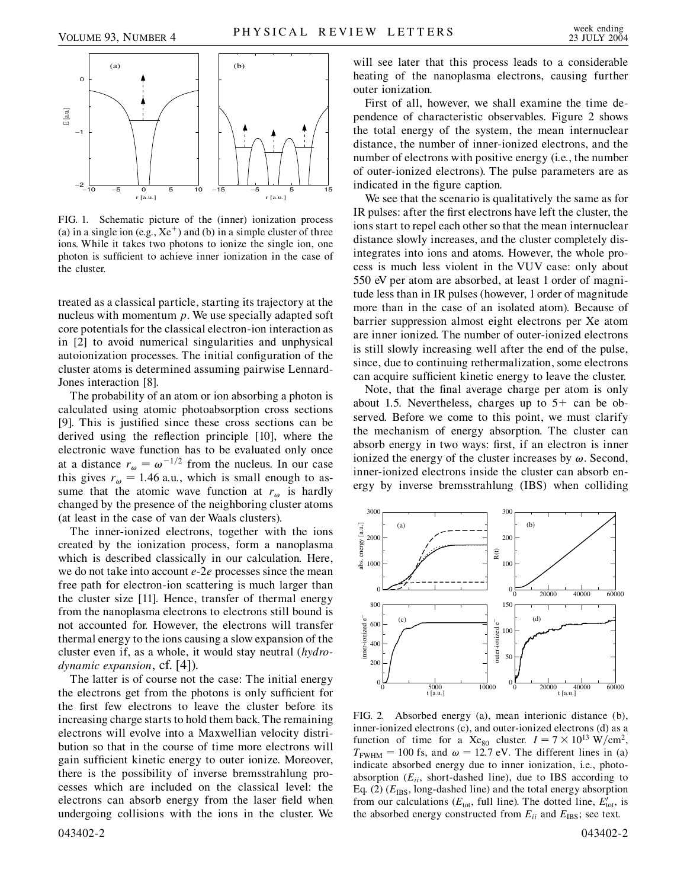

FIG. 1. Schematic picture of the (inner) ionization process (a) in a single ion (e.g.,  $Xe^+$ ) and (b) in a simple cluster of three ions. While it takes two photons to ionize the single ion, one photon is sufficient to achieve inner ionization in the case of the cluster.

treated as a classical particle, starting its trajectory at the nucleus with momentum *p*. We use specially adapted soft core potentials for the classical electron-ion interaction as in [2] to avoid numerical singularities and unphysical autoionization processes. The initial configuration of the cluster atoms is determined assuming pairwise Lennard-Jones interaction [8].

The probability of an atom or ion absorbing a photon is calculated using atomic photoabsorption cross sections [9]. This is justified since these cross sections can be derived using the reflection principle [10], where the electronic wave function has to be evaluated only once at a distance  $r_{\omega} = \omega^{-1/2}$  from the nucleus. In our case this gives  $r_{\omega} = 1.46$  a.u., which is small enough to assume that the atomic wave function at  $r_{\omega}$  is hardly changed by the presence of the neighboring cluster atoms (at least in the case of van der Waals clusters).

The inner-ionized electrons, together with the ions created by the ionization process, form a nanoplasma which is described classically in our calculation. Here, we do not take into account *e*-2*e* processes since the mean free path for electron-ion scattering is much larger than the cluster size [11]. Hence, transfer of thermal energy from the nanoplasma electrons to electrons still bound is not accounted for. However, the electrons will transfer thermal energy to the ions causing a slow expansion of the cluster even if, as a whole, it would stay neutral (*hydrodynamic expansion*, cf. [4]).

The latter is of course not the case: The initial energy the electrons get from the photons is only sufficient for the first few electrons to leave the cluster before its increasing charge starts to hold them back. The remaining electrons will evolve into a Maxwellian velocity distribution so that in the course of time more electrons will gain sufficient kinetic energy to outer ionize. Moreover, there is the possibility of inverse bremsstrahlung processes which are included on the classical level: the electrons can absorb energy from the laser field when undergoing collisions with the ions in the cluster. We

043402-2 043402-2

will see later that this process leads to a considerable heating of the nanoplasma electrons, causing further outer ionization.

First of all, however, we shall examine the time dependence of characteristic observables. Figure 2 shows the total energy of the system, the mean internuclear distance, the number of inner-ionized electrons, and the number of electrons with positive energy (i.e., the number of outer-ionized electrons). The pulse parameters are as indicated in the figure caption.

We see that the scenario is qualitatively the same as for IR pulses: after the first electrons have left the cluster, the ions start to repel each other so that the mean internuclear distance slowly increases, and the cluster completely disintegrates into ions and atoms. However, the whole process is much less violent in the VUV case: only about 550 eV per atom are absorbed, at least 1 order of magnitude less than in IR pulses (however, 1 order of magnitude more than in the case of an isolated atom). Because of barrier suppression almost eight electrons per Xe atom are inner ionized. The number of outer-ionized electrons is still slowly increasing well after the end of the pulse, since, due to continuing rethermalization, some electrons can acquire sufficient kinetic energy to leave the cluster.

Note, that the final average charge per atom is only about 1.5. Nevertheless, charges up to  $5+$  can be observed. Before we come to this point, we must clarify the mechanism of energy absorption. The cluster can absorb energy in two ways: first, if an electron is inner ionized the energy of the cluster increases by  $\omega$ . Second, inner-ionized electrons inside the cluster can absorb energy by inverse bremsstrahlung (IBS) when colliding



FIG. 2. Absorbed energy (a), mean interionic distance (b), inner-ionized electrons (c), and outer-ionized electrons (d) as a function of time for a Xe<sub>80</sub> cluster.  $I = 7 \times 10^{13}$  W/cm<sup>2</sup>,  $T_{\text{FWHM}} = 100 \text{ fs}$ , and  $\omega = 12.7 \text{ eV}$ . The different lines in (a) indicate absorbed energy due to inner ionization, i.e., photoabsorption  $(E_{ii}, \text{ short-dashed line})$ , due to IBS according to Eq.  $(2)$  ( $E_{\text{IBS}}$ , long-dashed line) and the total energy absorption from our calculations ( $E_{\text{tot}}$ , full line). The dotted line,  $E_{\text{tot}}$ , is the absorbed energy constructed from  $E_{ii}$  and  $E_{IBS}$ ; see text.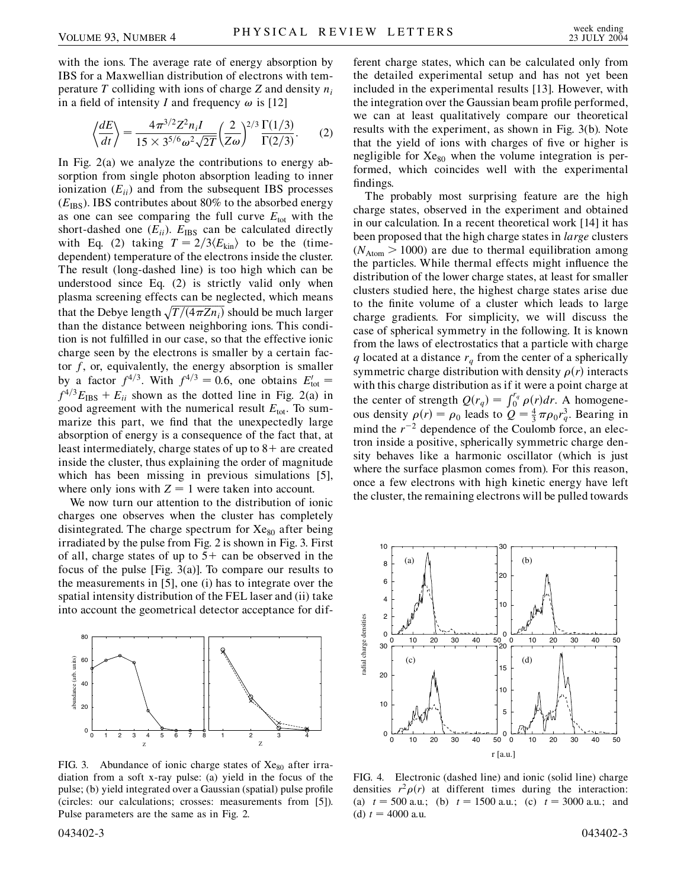with the ions. The average rate of energy absorption by IBS for a Maxwellian distribution of electrons with temperature *T* colliding with ions of charge *Z* and density *ni* in a field of intensity *I* and frequency  $\omega$  is [12]

$$
\left\langle \frac{dE}{dt} \right\rangle = \frac{4\pi^{3/2} Z^2 n_i I}{15 \times 3^{5/6} \omega^2 \sqrt{2T}} \left( \frac{2}{Z\omega} \right)^{2/3} \frac{\Gamma(1/3)}{\Gamma(2/3)}. \tag{2}
$$

In Fig. 2(a) we analyze the contributions to energy absorption from single photon absorption leading to inner ionization  $(E_{ii})$  and from the subsequent IBS processes  $(E_{\text{IBS}})$ . IBS contributes about 80% to the absorbed energy as one can see comparing the full curve  $E_{\text{tot}}$  with the short-dashed one  $(E_{ii})$ .  $E_{IBS}$  can be calculated directly with Eq. (2) taking  $T = 2/3 \langle E_{\text{kin}} \rangle$  to be the (timedependent) temperature of the electrons inside the cluster. The result (long-dashed line) is too high which can be understood since Eq. (2) is strictly valid only when plasma screening effects can be neglected, which means that the Debye length  $\sqrt{T/(4\pi Zn_i)}$  should be much larger than the distance between neighboring ions. This condition is not fulfilled in our case, so that the effective ionic charge seen by the electrons is smaller by a certain factor *f*, or, equivalently, the energy absorption is smaller by a factor  $f^{4/3}$ . With  $f^{4/3} = 0.6$ , one obtains  $E_{\text{tot}}' =$  $f^{4/3}E_{\text{IBS}} + E_{ii}$  shown as the dotted line in Fig. 2(a) in good agreement with the numerical result  $E_{\text{tot}}$ . To summarize this part, we find that the unexpectedly large absorption of energy is a consequence of the fact that, at least intermediately, charge states of up to 8+ are created inside the cluster, thus explaining the order of magnitude which has been missing in previous simulations [5], where only ions with  $Z = 1$  were taken into account.

We now turn our attention to the distribution of ionic charges one observes when the cluster has completely disintegrated. The charge spectrum for  $Xe_{80}$  after being irradiated by the pulse from Fig. 2 is shown in Fig. 3. First of all, charge states of up to  $5+$  can be observed in the focus of the pulse [Fig. 3(a)]. To compare our results to the measurements in [5], one (i) has to integrate over the spatial intensity distribution of the FEL laser and (ii) take into account the geometrical detector acceptance for dif-



FIG. 3. Abundance of ionic charge states of  $Xe_{80}$  after irradiation from a soft x-ray pulse: (a) yield in the focus of the pulse; (b) yield integrated over a Gaussian (spatial) pulse profile (circles: our calculations; crosses: measurements from [5]). Pulse parameters are the same as in Fig. 2.

ferent charge states, which can be calculated only from the detailed experimental setup and has not yet been included in the experimental results [13]. However, with the integration over the Gaussian beam profile performed, we can at least qualitatively compare our theoretical results with the experiment, as shown in Fig. 3(b). Note that the yield of ions with charges of five or higher is negligible for  $Xe_{80}$  when the volume integration is performed, which coincides well with the experimental findings.

The probably most surprising feature are the high charge states, observed in the experiment and obtained in our calculation. In a recent theoretical work [14] it has been proposed that the high charge states in *large* clusters  $(N<sub>Atom</sub> > 1000)$  are due to thermal equilibration among the particles. While thermal effects might influence the distribution of the lower charge states, at least for smaller clusters studied here, the highest charge states arise due to the finite volume of a cluster which leads to large charge gradients. For simplicity, we will discuss the case of spherical symmetry in the following. It is known from the laws of electrostatics that a particle with charge *q* located at a distance  $r_q$  from the center of a spherically symmetric charge distribution with density  $\rho(r)$  interacts with this charge distribution as if it were a point charge at the center of strength  $Q(r_q) = \int_0^{r_q} \rho(r) dr$ . A homogeneous density  $\rho(r) = \rho_0$  leads to  $Q = \frac{4}{3} \pi \rho_0 r_q^3$ . Bearing in mind the  $r^{-2}$  dependence of the Coulomb force, an electron inside a positive, spherically symmetric charge density behaves like a harmonic oscillator (which is just where the surface plasmon comes from). For this reason, once a few electrons with high kinetic energy have left the cluster, the remaining electrons will be pulled towards



FIG. 4. Electronic (dashed line) and ionic (solid line) charge densities  $r^2 \rho(r)$  at different times during the interaction: (a)  $t = 500$  a.u.; (b)  $t = 1500$  a.u.; (c)  $t = 3000$  a.u.; and (d)  $t = 4000$  a.u.